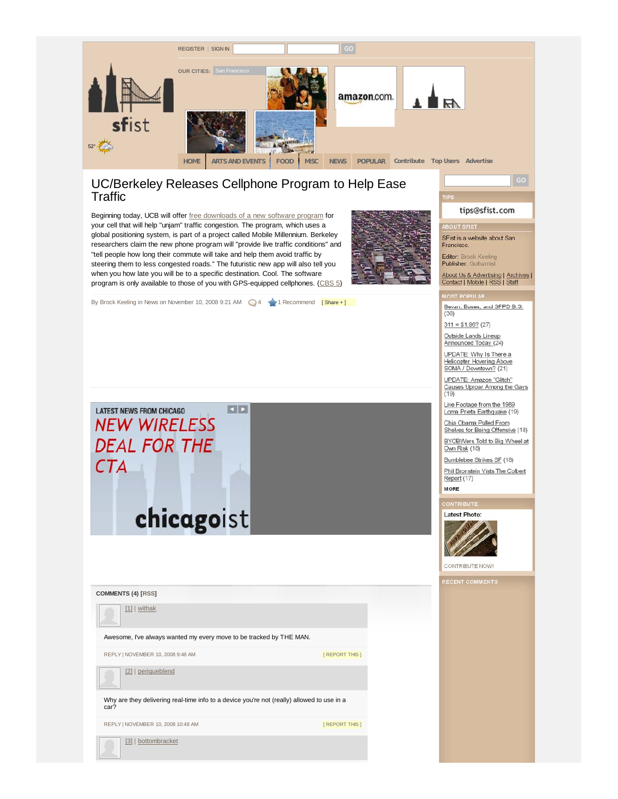

## UC/Berkeley Releases Cellphone Program to Help Ease **Traffic**

Beginning today, UCB will offer free downloads of a new software program for your cell that will help "unjam" traffic congestion. The program, which uses a global positioning system, is part of a project called Mobile Millennium. Berkeley researchers claim the new phone program will "provide live traffic conditions" and "tell people how long their commute will take and help them avoid traffic by steering them to less congested roads." The futuristic new app will also tell you when you how late you will be to a specific destination. Cool. The software program is only available to those of you with GPS-equipped cellphones. (CBS 5)



By Brock Keeling in News on November 10, 2008 9:21 AM 4 1 Recommend [Share +]

**KID LATEST NEWS FROM CHICAGO NEW WIRELESS DEAL FOR THE CTA** 

## chicagoist

**COMMENTS (4) [RSS]**

[1] | withak

Awesome, I've always wanted my every move to be tracked by THE MAN.

REPLY | NOVEMBER 10, 2008 9:48 AM **[ REPORT THIS ]** 

[2] | periqueblend

Why are they delivering real-time info to a device you're not (really) allowed to use in a car?

REPLY | NOVEMBER 10, 2008 10:48 AM **[ REPORT THIS ]** 

[3] | bottombracket

tips@sfist.com

SFist is a website about San Francisco.

**BOUT SFIST** 

Editor: Brock Keeling Publisher: Gothamist

About Us & Advertising | Archives |<br>Contact | Mobile | RSS | Staff

**NOST POPULAR** 

Bevan, Buses, and SFPD B.S.  $(36)$ 

 $311 = $1.96? (27)$ 

Outside Lands Lineup<br>Announced Today (24)

UPDATE: Why Is There a Helicopter Hovering Above<br>SOMA / Downtown? (21)

UPDATE: Amazon "Glitch"<br>Causes Uproar Among the Gays  $(19)$ 

Live Footage from the 1989 Loma Prieta Earthquake (19)

Chia Obama Pulled From Shelves for Being Offensive (18)

BYOBWers Told to Big Wheel at Own Risk (18) Bumblebee Strikes SF (18)

Phil Bronstein Vists The Colbert Report (17) **MORE** 



CONTRIBUTE NOW!